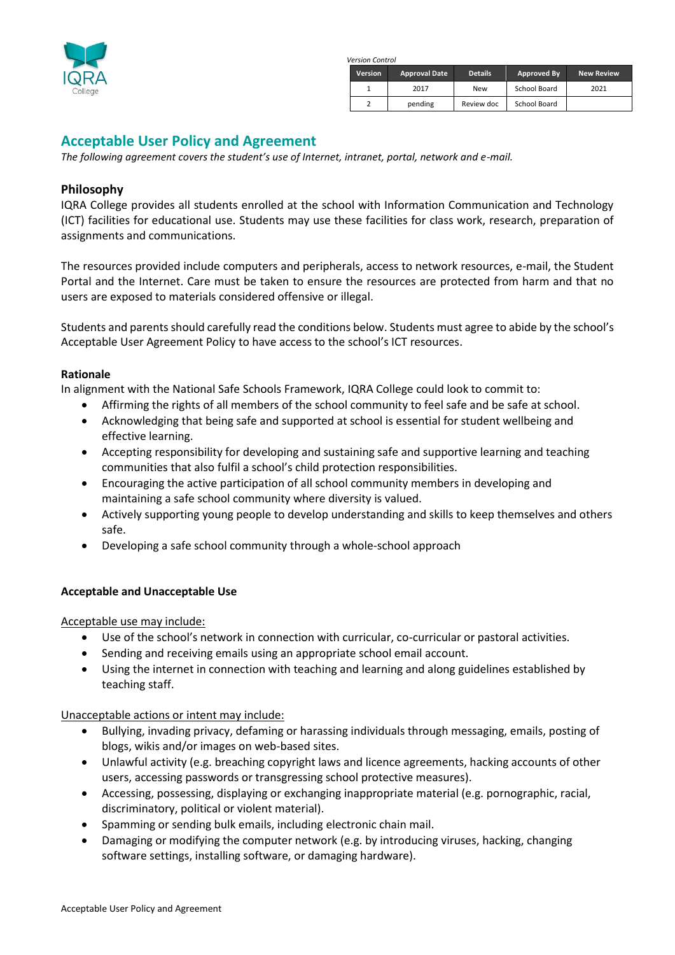

*Version Control*

| <b>Version</b> | <b>Approval Date</b> | <b>Details</b> | Approved By  | <b>New Review</b> |
|----------------|----------------------|----------------|--------------|-------------------|
|                | 2017                 | <b>New</b>     | School Board | 2021              |
|                | pending              | Review doc     | School Board |                   |

# **Acceptable User Policy and Agreement**

*The following agreement covers the student's use of Internet, intranet, portal, network and e-mail.* 

# **Philosophy**

IQRA College provides all students enrolled at the school with Information Communication and Technology (ICT) facilities for educational use. Students may use these facilities for class work, research, preparation of assignments and communications.

The resources provided include computers and peripherals, access to network resources, e-mail, the Student Portal and the Internet. Care must be taken to ensure the resources are protected from harm and that no users are exposed to materials considered offensive or illegal.

Students and parents should carefully read the conditions below. Students must agree to abide by the school's Acceptable User Agreement Policy to have access to the school's ICT resources.

#### **Rationale**

In alignment with the National Safe Schools Framework, IQRA College could look to commit to:

- Affirming the rights of all members of the school community to feel safe and be safe at school.
- Acknowledging that being safe and supported at school is essential for student wellbeing and effective learning.
- Accepting responsibility for developing and sustaining safe and supportive learning and teaching communities that also fulfil a school's child protection responsibilities.
- Encouraging the active participation of all school community members in developing and maintaining a safe school community where diversity is valued.
- Actively supporting young people to develop understanding and skills to keep themselves and others safe.
- Developing a safe school community through a whole-school approach

### **Acceptable and Unacceptable Use**

Acceptable use may include:

- Use of the school's network in connection with curricular, co-curricular or pastoral activities.
- Sending and receiving emails using an appropriate school email account.
- Using the internet in connection with teaching and learning and along guidelines established by teaching staff.

Unacceptable actions or intent may include:

- Bullying, invading privacy, defaming or harassing individuals through messaging, emails, posting of blogs, wikis and/or images on web-based sites.
- Unlawful activity (e.g. breaching copyright laws and licence agreements, hacking accounts of other users, accessing passwords or transgressing school protective measures).
- Accessing, possessing, displaying or exchanging inappropriate material (e.g. pornographic, racial, discriminatory, political or violent material).
- Spamming or sending bulk emails, including electronic chain mail.
- Damaging or modifying the computer network (e.g. by introducing viruses, hacking, changing software settings, installing software, or damaging hardware).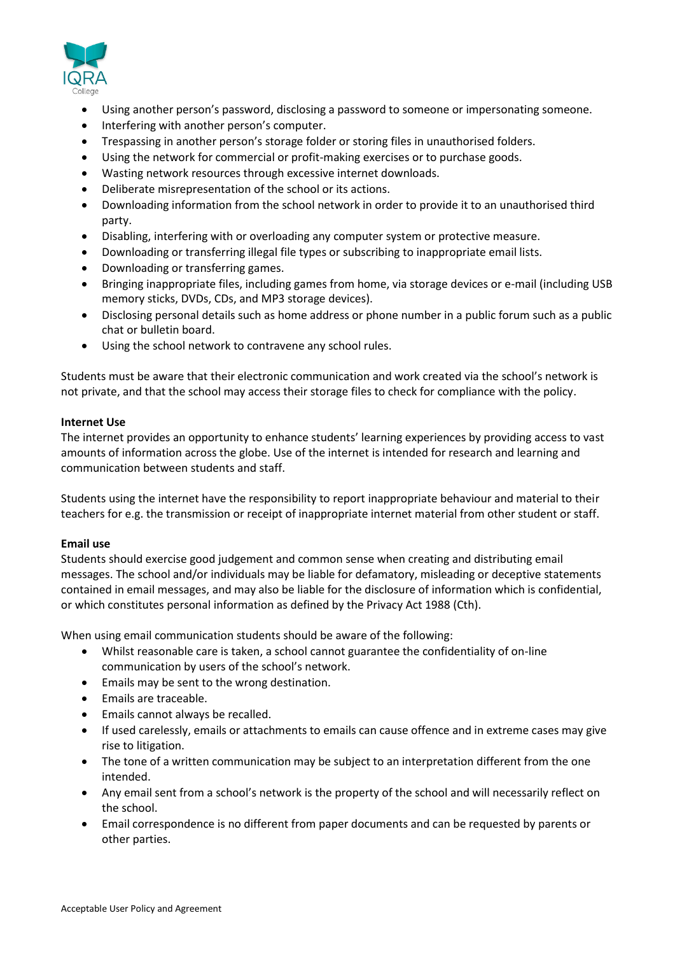

- Using another person's password, disclosing a password to someone or impersonating someone.
- Interfering with another person's computer.
- Trespassing in another person's storage folder or storing files in unauthorised folders.
- Using the network for commercial or profit-making exercises or to purchase goods.
- Wasting network resources through excessive internet downloads.
- Deliberate misrepresentation of the school or its actions.
- Downloading information from the school network in order to provide it to an unauthorised third party.
- Disabling, interfering with or overloading any computer system or protective measure.
- Downloading or transferring illegal file types or subscribing to inappropriate email lists.
- Downloading or transferring games.
- Bringing inappropriate files, including games from home, via storage devices or e-mail (including USB memory sticks, DVDs, CDs, and MP3 storage devices).
- Disclosing personal details such as home address or phone number in a public forum such as a public chat or bulletin board.
- Using the school network to contravene any school rules.

Students must be aware that their electronic communication and work created via the school's network is not private, and that the school may access their storage files to check for compliance with the policy.

# **Internet Use**

The internet provides an opportunity to enhance students' learning experiences by providing access to vast amounts of information across the globe. Use of the internet is intended for research and learning and communication between students and staff.

Students using the internet have the responsibility to report inappropriate behaviour and material to their teachers for e.g. the transmission or receipt of inappropriate internet material from other student or staff.

### **Email use**

Students should exercise good judgement and common sense when creating and distributing email messages. The school and/or individuals may be liable for defamatory, misleading or deceptive statements contained in email messages, and may also be liable for the disclosure of information which is confidential, or which constitutes personal information as defined by the Privacy Act 1988 (Cth).

When using email communication students should be aware of the following:

- Whilst reasonable care is taken, a school cannot guarantee the confidentiality of on-line communication by users of the school's network.
- Emails may be sent to the wrong destination.
- Emails are traceable.
- Emails cannot always be recalled.
- If used carelessly, emails or attachments to emails can cause offence and in extreme cases may give rise to litigation.
- The tone of a written communication may be subject to an interpretation different from the one intended.
- Any email sent from a school's network is the property of the school and will necessarily reflect on the school.
- Email correspondence is no different from paper documents and can be requested by parents or other parties.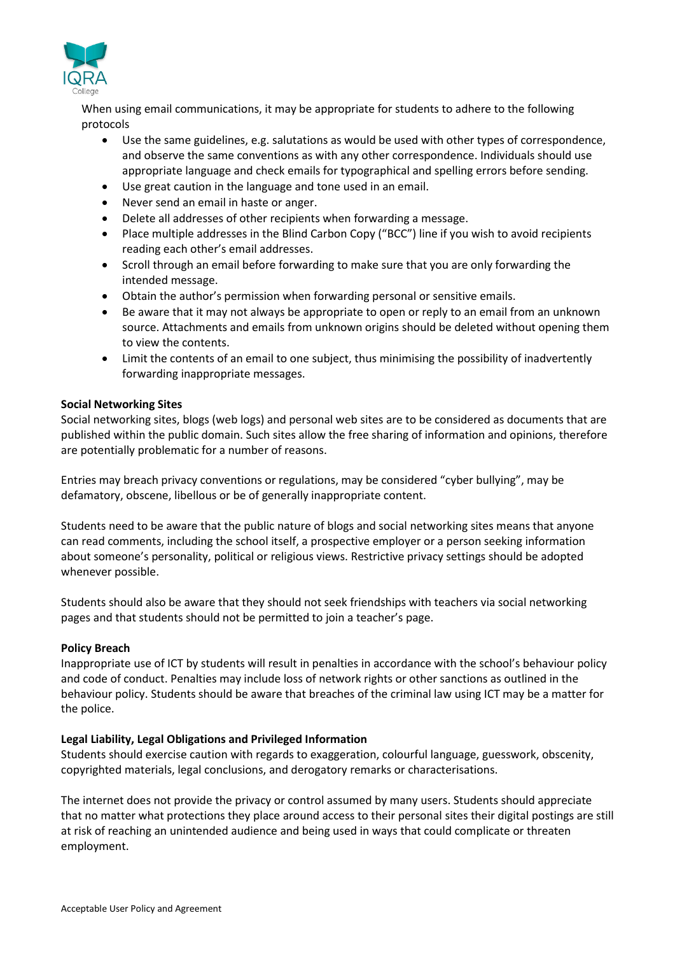

When using email communications, it may be appropriate for students to adhere to the following protocols

- Use the same guidelines, e.g. salutations as would be used with other types of correspondence, and observe the same conventions as with any other correspondence. Individuals should use appropriate language and check emails for typographical and spelling errors before sending.
- Use great caution in the language and tone used in an email.
- Never send an email in haste or anger.
- Delete all addresses of other recipients when forwarding a message.
- Place multiple addresses in the Blind Carbon Copy ("BCC") line if you wish to avoid recipients reading each other's email addresses.
- Scroll through an email before forwarding to make sure that you are only forwarding the intended message.
- Obtain the author's permission when forwarding personal or sensitive emails.
- Be aware that it may not always be appropriate to open or reply to an email from an unknown source. Attachments and emails from unknown origins should be deleted without opening them to view the contents.
- Limit the contents of an email to one subject, thus minimising the possibility of inadvertently forwarding inappropriate messages.

# **Social Networking Sites**

Social networking sites, blogs (web logs) and personal web sites are to be considered as documents that are published within the public domain. Such sites allow the free sharing of information and opinions, therefore are potentially problematic for a number of reasons.

Entries may breach privacy conventions or regulations, may be considered "cyber bullying", may be defamatory, obscene, libellous or be of generally inappropriate content.

Students need to be aware that the public nature of blogs and social networking sites means that anyone can read comments, including the school itself, a prospective employer or a person seeking information about someone's personality, political or religious views. Restrictive privacy settings should be adopted whenever possible.

Students should also be aware that they should not seek friendships with teachers via social networking pages and that students should not be permitted to join a teacher's page.

### **Policy Breach**

Inappropriate use of ICT by students will result in penalties in accordance with the school's behaviour policy and code of conduct. Penalties may include loss of network rights or other sanctions as outlined in the behaviour policy. Students should be aware that breaches of the criminal law using ICT may be a matter for the police.

# **Legal Liability, Legal Obligations and Privileged Information**

Students should exercise caution with regards to exaggeration, colourful language, guesswork, obscenity, copyrighted materials, legal conclusions, and derogatory remarks or characterisations.

The internet does not provide the privacy or control assumed by many users. Students should appreciate that no matter what protections they place around access to their personal sites their digital postings are still at risk of reaching an unintended audience and being used in ways that could complicate or threaten employment.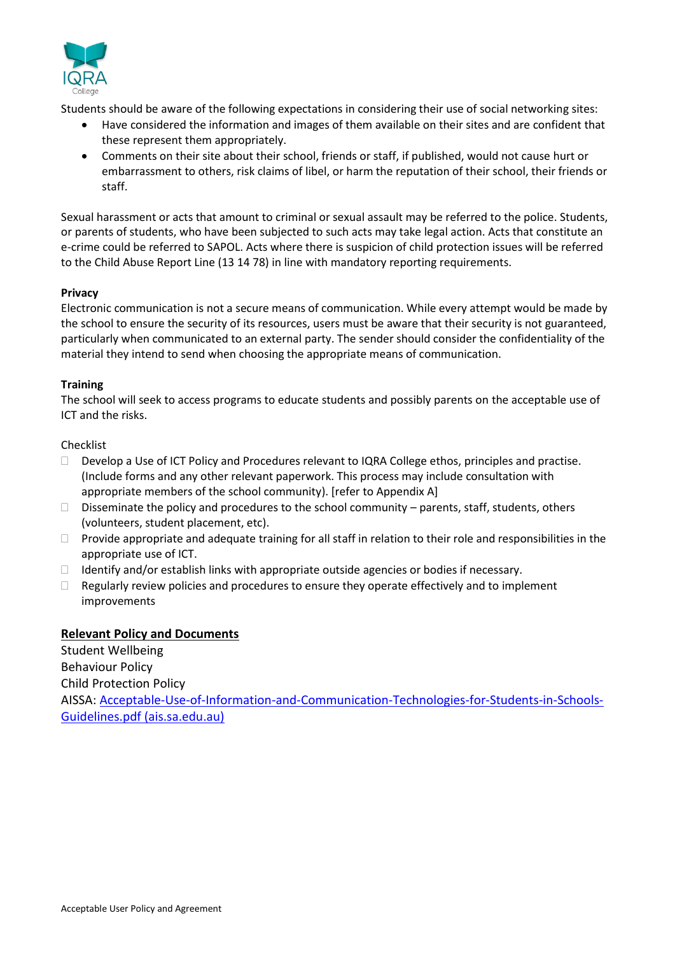

Students should be aware of the following expectations in considering their use of social networking sites:

- Have considered the information and images of them available on their sites and are confident that these represent them appropriately.
- Comments on their site about their school, friends or staff, if published, would not cause hurt or embarrassment to others, risk claims of libel, or harm the reputation of their school, their friends or staff.

Sexual harassment or acts that amount to criminal or sexual assault may be referred to the police. Students, or parents of students, who have been subjected to such acts may take legal action. Acts that constitute an e-crime could be referred to SAPOL. Acts where there is suspicion of child protection issues will be referred to the Child Abuse Report Line (13 14 78) in line with mandatory reporting requirements.

# **Privacy**

Electronic communication is not a secure means of communication. While every attempt would be made by the school to ensure the security of its resources, users must be aware that their security is not guaranteed, particularly when communicated to an external party. The sender should consider the confidentiality of the material they intend to send when choosing the appropriate means of communication.

# **Training**

The school will seek to access programs to educate students and possibly parents on the acceptable use of ICT and the risks.

# Checklist

- Develop a Use of ICT Policy and Procedures relevant to IQRA College ethos, principles and practise. (Include forms and any other relevant paperwork. This process may include consultation with appropriate members of the school community). [refer to Appendix A]
- $\square$  Disseminate the policy and procedures to the school community parents, staff, students, others (volunteers, student placement, etc).
- □ Provide appropriate and adequate training for all staff in relation to their role and responsibilities in the appropriate use of ICT.
- $\Box$  Identify and/or establish links with appropriate outside agencies or bodies if necessary.
- $\Box$  Regularly review policies and procedures to ensure they operate effectively and to implement improvements

# **Relevant Policy and Documents**

Student Wellbeing Behaviour Policy Child Protection Policy AISSA[: Acceptable-Use-of-Information-and-Communication-Technologies-for-Students-in-Schools-](https://www.ais.sa.edu.au/wp-content/uploads/Pages/Policy_Resources/Acceptable-Use-of-Information-and-Communication-Technologies-for-Students-in-Schools-Guidelines.pdf)[Guidelines.pdf \(ais.sa.edu.au\)](https://www.ais.sa.edu.au/wp-content/uploads/Pages/Policy_Resources/Acceptable-Use-of-Information-and-Communication-Technologies-for-Students-in-Schools-Guidelines.pdf)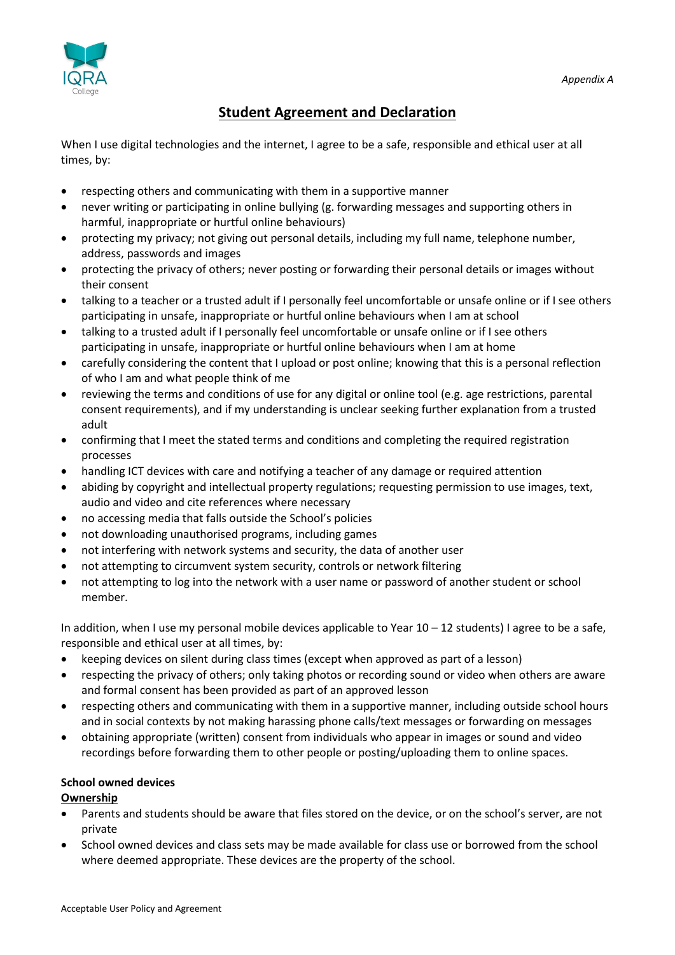

# **Student Agreement and Declaration**

When I use digital technologies and the internet, I agree to be a safe, responsible and ethical user at all times, by:

- respecting others and communicating with them in a supportive manner
- never writing or participating in online bullying (g. forwarding messages and supporting others in harmful, inappropriate or hurtful online behaviours)
- protecting my privacy; not giving out personal details, including my full name, telephone number, address, passwords and images
- protecting the privacy of others; never posting or forwarding their personal details or images without their consent
- talking to a teacher or a trusted adult if I personally feel uncomfortable or unsafe online or if I see others participating in unsafe, inappropriate or hurtful online behaviours when I am at school
- talking to a trusted adult if I personally feel uncomfortable or unsafe online or if I see others participating in unsafe, inappropriate or hurtful online behaviours when I am at home
- carefully considering the content that I upload or post online; knowing that this is a personal reflection of who I am and what people think of me
- reviewing the terms and conditions of use for any digital or online tool (e.g. age restrictions, parental consent requirements), and if my understanding is unclear seeking further explanation from a trusted adult
- confirming that I meet the stated terms and conditions and completing the required registration processes
- handling ICT devices with care and notifying a teacher of any damage or required attention
- abiding by copyright and intellectual property regulations; requesting permission to use images, text, audio and video and cite references where necessary
- no accessing media that falls outside the School's policies
- not downloading unauthorised programs, including games
- not interfering with network systems and security, the data of another user
- not attempting to circumvent system security, controls or network filtering
- not attempting to log into the network with a user name or password of another student or school member.

In addition, when I use my personal mobile devices applicable to Year  $10 - 12$  students) I agree to be a safe, responsible and ethical user at all times, by:

- keeping devices on silent during class times (except when approved as part of a lesson)
- respecting the privacy of others; only taking photos or recording sound or video when others are aware and formal consent has been provided as part of an approved lesson
- respecting others and communicating with them in a supportive manner, including outside school hours and in social contexts by not making harassing phone calls/text messages or forwarding on messages
- obtaining appropriate (written) consent from individuals who appear in images or sound and video recordings before forwarding them to other people or posting/uploading them to online spaces.

# **School owned devices**

# **Ownership**

- Parents and students should be aware that files stored on the device, or on the school's server, are not private
- School owned devices and class sets may be made available for class use or borrowed from the school where deemed appropriate. These devices are the property of the school.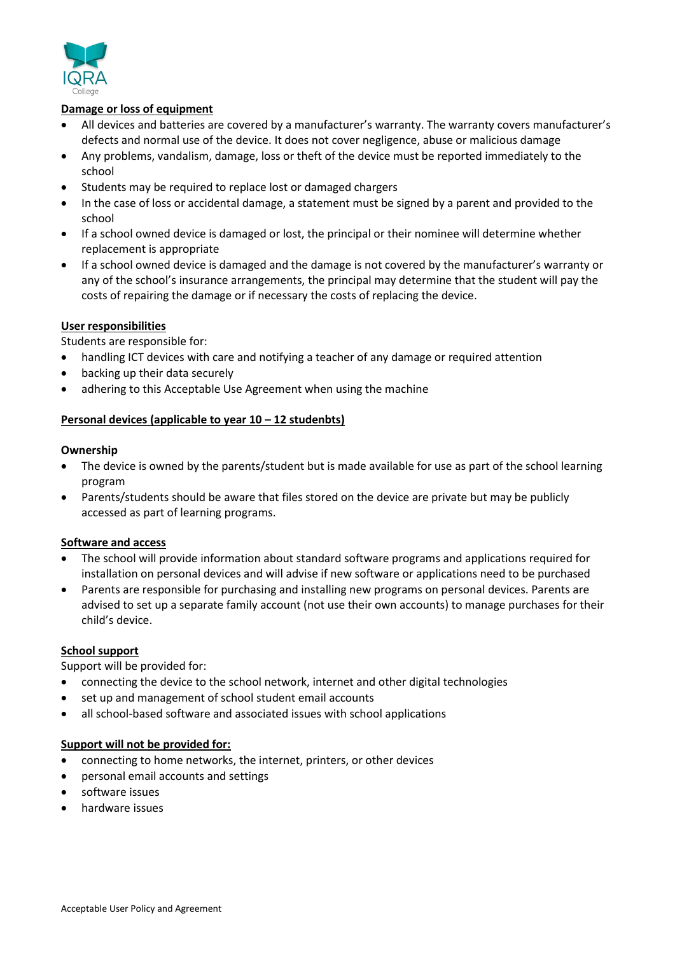

# **Damage or loss of equipment**

- All devices and batteries are covered by a manufacturer's warranty. The warranty covers manufacturer's defects and normal use of the device. It does not cover negligence, abuse or malicious damage
- Any problems, vandalism, damage, loss or theft of the device must be reported immediately to the school
- Students may be required to replace lost or damaged chargers
- In the case of loss or accidental damage, a statement must be signed by a parent and provided to the school
- If a school owned device is damaged or lost, the principal or their nominee will determine whether replacement is appropriate
- If a school owned device is damaged and the damage is not covered by the manufacturer's warranty or any of the school's insurance arrangements, the principal may determine that the student will pay the costs of repairing the damage or if necessary the costs of replacing the device.

# **User responsibilities**

Students are responsible for:

- handling ICT devices with care and notifying a teacher of any damage or required attention
- backing up their data securely
- adhering to this Acceptable Use Agreement when using the machine

# **Personal devices (applicable to year 10 – 12 studenbts)**

#### **Ownership**

- The device is owned by the parents/student but is made available for use as part of the school learning program
- Parents/students should be aware that files stored on the device are private but may be publicly accessed as part of learning programs.

### **Software and access**

- The school will provide information about standard software programs and applications required for installation on personal devices and will advise if new software or applications need to be purchased
- Parents are responsible for purchasing and installing new programs on personal devices. Parents are advised to set up a separate family account (not use their own accounts) to manage purchases for their child's device.

### **School support**

Support will be provided for:

- connecting the device to the school network, internet and other digital technologies
- set up and management of school student email accounts
- all school-based software and associated issues with school applications

### **Support will not be provided for:**

- connecting to home networks, the internet, printers, or other devices
- personal email accounts and settings
- software issues
- hardware issues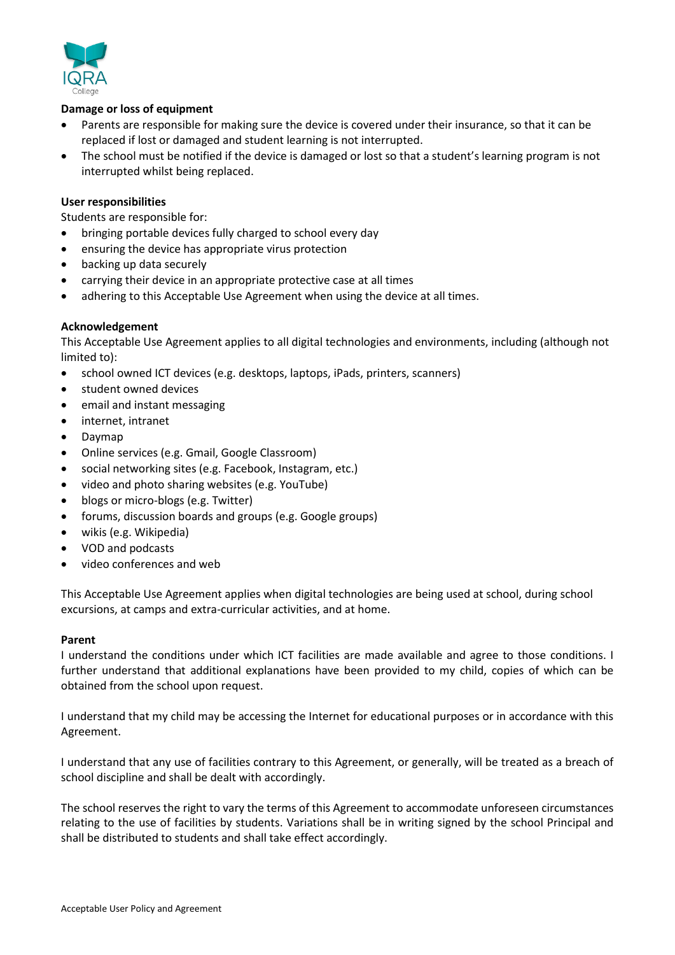

# **Damage or loss of equipment**

- Parents are responsible for making sure the device is covered under their insurance, so that it can be replaced if lost or damaged and student learning is not interrupted.
- The school must be notified if the device is damaged or lost so that a student's learning program is not interrupted whilst being replaced.

### **User responsibilities**

Students are responsible for:

- bringing portable devices fully charged to school every day
- ensuring the device has appropriate virus protection
- backing up data securely
- carrying their device in an appropriate protective case at all times
- adhering to this Acceptable Use Agreement when using the device at all times.

### **Acknowledgement**

This Acceptable Use Agreement applies to all digital technologies and environments, including (although not limited to):

- school owned ICT devices (e.g. desktops, laptops, iPads, printers, scanners)
- student owned devices
- email and instant messaging
- internet, intranet
- Daymap
- Online services (e.g. Gmail, Google Classroom)
- social networking sites (e.g. Facebook, Instagram, etc.)
- video and photo sharing websites (e.g. YouTube)
- blogs or micro-blogs (e.g. Twitter)
- forums, discussion boards and groups (e.g. Google groups)
- wikis (e.g. Wikipedia)
- VOD and podcasts
- video conferences and web

This Acceptable Use Agreement applies when digital technologies are being used at school, during school excursions, at camps and extra-curricular activities, and at home.

### **Parent**

I understand the conditions under which ICT facilities are made available and agree to those conditions. I further understand that additional explanations have been provided to my child, copies of which can be obtained from the school upon request.

I understand that my child may be accessing the Internet for educational purposes or in accordance with this Agreement.

I understand that any use of facilities contrary to this Agreement, or generally, will be treated as a breach of school discipline and shall be dealt with accordingly.

The school reserves the right to vary the terms of this Agreement to accommodate unforeseen circumstances relating to the use of facilities by students. Variations shall be in writing signed by the school Principal and shall be distributed to students and shall take effect accordingly.